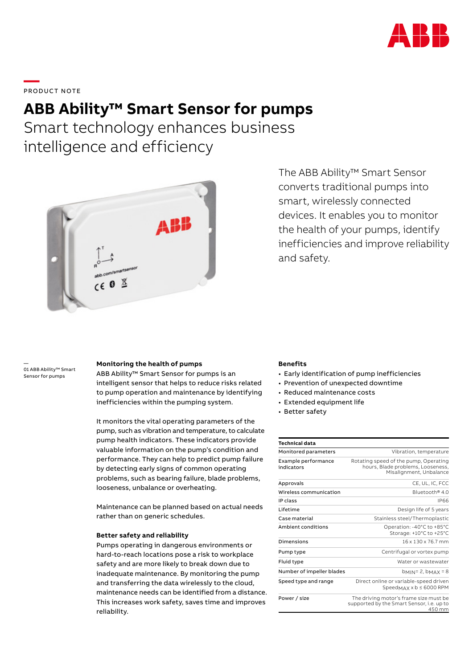

**—**  PRODUCT NOTE

# **ABB Ability™ Smart Sensor for pumps**

Smart technology enhances business intelligence and efficiency



The ABB Ability™ Smart Sensor converts traditional pumps into smart, wirelessly connected devices. It enables you to monitor the health of your pumps, identify inefficiencies and improve reliability and safety.

—<br>01 ABB Ability™ Smart Sensor for pumps

#### **Monitoring the health of pumps**

ABB Ability™ Smart Sensor for pumps is an intelligent sensor that helps to reduce risks related to pump operation and maintenance by identifying inefficiencies within the pumping system.

It monitors the vital operating parameters of the pump, such as vibration and temperature, to calculate pump health indicators. These indicators provide valuable information on the pump's condition and performance. They can help to predict pump failure by detecting early signs of common operating problems, such as bearing failure, blade problems, looseness, unbalance or overheating.

Maintenance can be planned based on actual needs rather than on generic schedules.

### **Better safety and reliability**

Pumps operating in dangerous environments or hard-to-reach locations pose a risk to workplace safety and are more likely to break down due to inadequate maintenance. By monitoring the pump and transferring the data wirelessly to the cloud, maintenance needs can be identified from a distance. This increases work safety, saves time and improves reliability.

#### **Benefits**

- Early identification of pump inefficiencies
- Prevention of unexpected downtime
- Reduced maintenance costs
- Extended equipment life
- Better safety

| <b>Technical data</b>             |                                                                                                       |
|-----------------------------------|-------------------------------------------------------------------------------------------------------|
| Monitored parameters              | Vibration, temperature                                                                                |
| Example performance<br>indicators | Rotating speed of the pump, Operating<br>hours, Blade problems, Looseness,<br>Misalignment, Unbalance |
| Approvals                         | CE, UL, IC, FCC                                                                                       |
| Wireless communication            | Bluetooth <sup>®</sup> 4.0                                                                            |
| IP class                          | <b>IP66</b>                                                                                           |
| Lifetime                          | Design life of 5 years                                                                                |
| Case material                     | Stainless steel/Thermoplastic                                                                         |
| Ambient conditions                | Operation: -40°C to +85°C<br>Storage: +10°C to +25°C                                                  |
| Dimensions                        | 16 x 130 x 76.7 mm                                                                                    |
| Pump type                         | Centrifugal or vortex pump                                                                            |
| Fluid type                        | Water or wastewater                                                                                   |
| Number of impeller blades         | $bmN = 2$ , $bmA = 8$                                                                                 |
| Speed type and range              | Direct online or variable-speed driven<br>SpeedMAX × b ≤ 6000 RPM                                     |
| Power / size                      | The driving motor's frame size must be<br>supported by the Smart Sensor, i.e. up to<br>450 mm         |